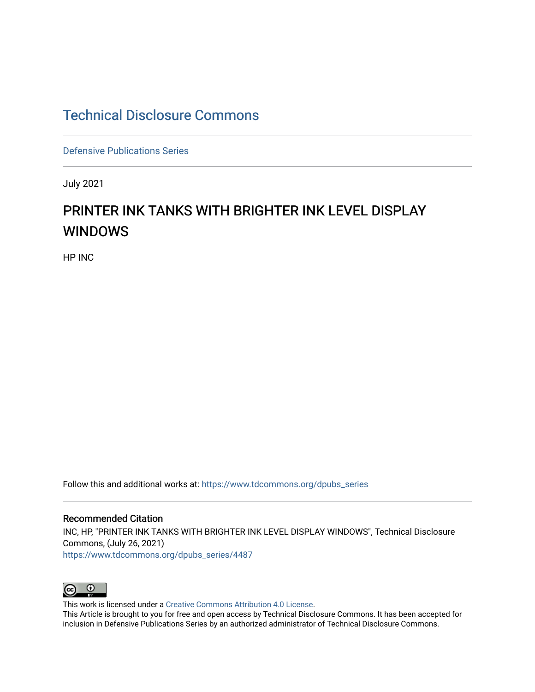## [Technical Disclosure Commons](https://www.tdcommons.org/)

[Defensive Publications Series](https://www.tdcommons.org/dpubs_series)

July 2021

## PRINTER INK TANKS WITH BRIGHTER INK LEVEL DISPLAY WINDOWS

HP INC

Follow this and additional works at: [https://www.tdcommons.org/dpubs\\_series](https://www.tdcommons.org/dpubs_series?utm_source=www.tdcommons.org%2Fdpubs_series%2F4487&utm_medium=PDF&utm_campaign=PDFCoverPages) 

Recommended Citation INC, HP, "PRINTER INK TANKS WITH BRIGHTER INK LEVEL DISPLAY WINDOWS", Technical Disclosure Commons, (July 26, 2021) [https://www.tdcommons.org/dpubs\\_series/4487](https://www.tdcommons.org/dpubs_series/4487?utm_source=www.tdcommons.org%2Fdpubs_series%2F4487&utm_medium=PDF&utm_campaign=PDFCoverPages)



This work is licensed under a [Creative Commons Attribution 4.0 License](http://creativecommons.org/licenses/by/4.0/deed.en_US).

This Article is brought to you for free and open access by Technical Disclosure Commons. It has been accepted for inclusion in Defensive Publications Series by an authorized administrator of Technical Disclosure Commons.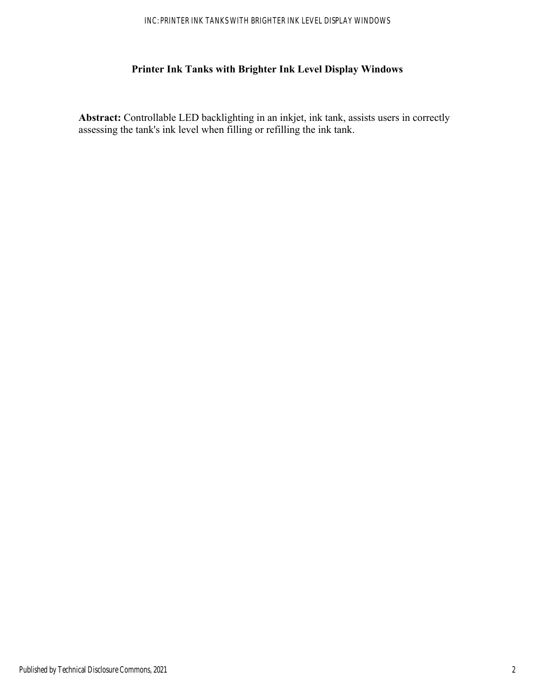## **Printer Ink Tanks with Brighter Ink Level Display Windows**

**Abstract:** Controllable LED backlighting in an inkjet, ink tank, assists users in correctly assessing the tank's ink level when filling or refilling the ink tank.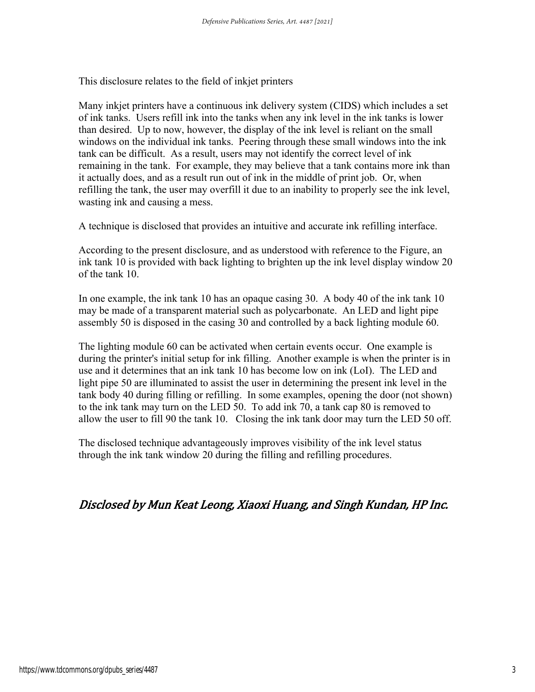This disclosure relates to the field of inkjet printers

Many inkjet printers have a continuous ink delivery system (CIDS) which includes a set of ink tanks. Users refill ink into the tanks when any ink level in the ink tanks is lower than desired. Up to now, however, the display of the ink level is reliant on the small windows on the individual ink tanks. Peering through these small windows into the ink tank can be difficult. As a result, users may not identify the correct level of ink remaining in the tank. For example, they may believe that a tank contains more ink than it actually does, and as a result run out of ink in the middle of print job. Or, when refilling the tank, the user may overfill it due to an inability to properly see the ink level, wasting ink and causing a mess.

A technique is disclosed that provides an intuitive and accurate ink refilling interface.

According to the present disclosure, and as understood with reference to the Figure, an ink tank 10 is provided with back lighting to brighten up the ink level display window 20 of the tank 10.

In one example, the ink tank 10 has an opaque casing 30. A body 40 of the ink tank 10 may be made of a transparent material such as polycarbonate. An LED and light pipe assembly 50 is disposed in the casing 30 and controlled by a back lighting module 60.

The lighting module 60 can be activated when certain events occur. One example is during the printer's initial setup for ink filling. Another example is when the printer is in use and it determines that an ink tank 10 has become low on ink (LoI). The LED and light pipe 50 are illuminated to assist the user in determining the present ink level in the tank body 40 during filling or refilling. In some examples, opening the door (not shown) to the ink tank may turn on the LED 50. To add ink 70, a tank cap 80 is removed to allow the user to fill 90 the tank 10. Closing the ink tank door may turn the LED 50 off.

The disclosed technique advantageously improves visibility of the ink level status through the ink tank window 20 during the filling and refilling procedures.

## Disclosed by Mun Keat Leong, Xiaoxi Huang, and Singh Kundan, HP Inc.